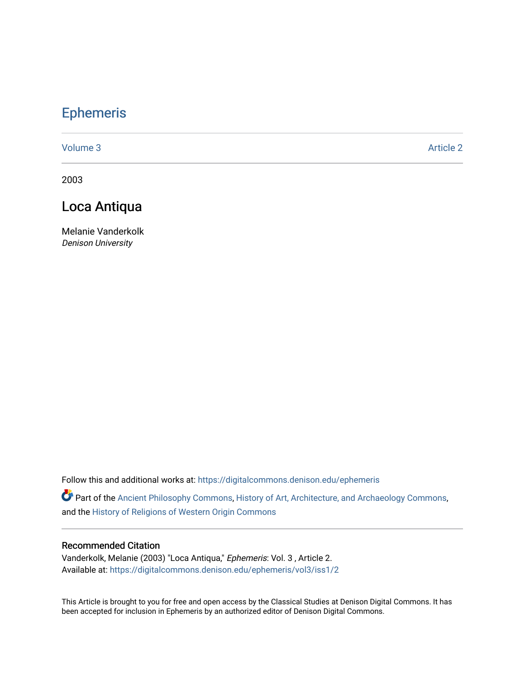# [Ephemeris](https://digitalcommons.denison.edu/ephemeris)

[Volume 3](https://digitalcommons.denison.edu/ephemeris/vol3) Article 2

2003

## Loca Antiqua

Melanie Vanderkolk Denison University

Follow this and additional works at: [https://digitalcommons.denison.edu/ephemeris](https://digitalcommons.denison.edu/ephemeris?utm_source=digitalcommons.denison.edu%2Fephemeris%2Fvol3%2Fiss1%2F2&utm_medium=PDF&utm_campaign=PDFCoverPages) 

Part of the [Ancient Philosophy Commons](http://network.bepress.com/hgg/discipline/448?utm_source=digitalcommons.denison.edu%2Fephemeris%2Fvol3%2Fiss1%2F2&utm_medium=PDF&utm_campaign=PDFCoverPages), [History of Art, Architecture, and Archaeology Commons](http://network.bepress.com/hgg/discipline/510?utm_source=digitalcommons.denison.edu%2Fephemeris%2Fvol3%2Fiss1%2F2&utm_medium=PDF&utm_campaign=PDFCoverPages), and the [History of Religions of Western Origin Commons](http://network.bepress.com/hgg/discipline/542?utm_source=digitalcommons.denison.edu%2Fephemeris%2Fvol3%2Fiss1%2F2&utm_medium=PDF&utm_campaign=PDFCoverPages)

#### Recommended Citation

Vanderkolk, Melanie (2003) "Loca Antiqua," Ephemeris: Vol. 3 , Article 2. Available at: [https://digitalcommons.denison.edu/ephemeris/vol3/iss1/2](https://digitalcommons.denison.edu/ephemeris/vol3/iss1/2?utm_source=digitalcommons.denison.edu%2Fephemeris%2Fvol3%2Fiss1%2F2&utm_medium=PDF&utm_campaign=PDFCoverPages)

This Article is brought to you for free and open access by the Classical Studies at Denison Digital Commons. It has been accepted for inclusion in Ephemeris by an authorized editor of Denison Digital Commons.